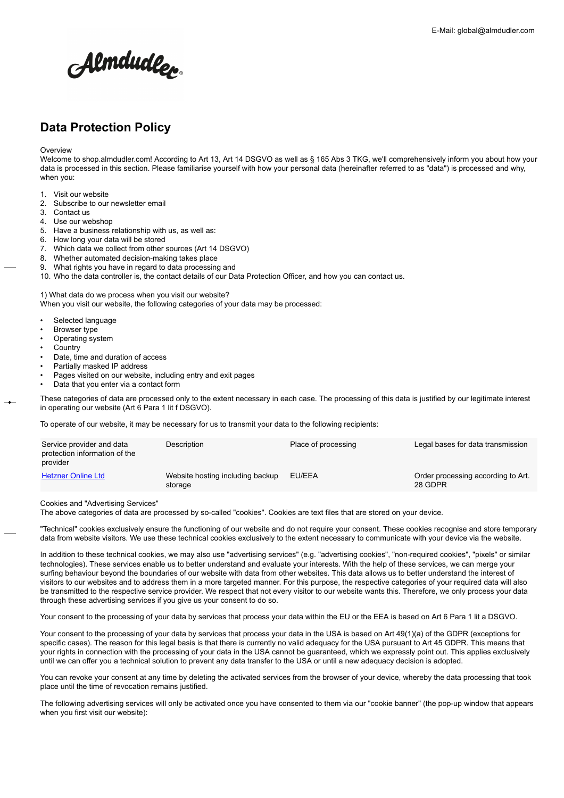# Almdudle<sub>l</sub>

# **Data Protection Policy**

**Overview** 

Welcome to shop.almdudler.com! According to Art 13, Art 14 DSGVO as well as § 165 Abs 3 TKG, we'll comprehensively inform you about how your data is processed in this section. Please familiarise yourself with how your personal data (hereinafter referred to as "data") is processed and why, when you:

- 1. Visit our website
- 2. Subscribe to our newsletter email
- 3. Contact us
- 4. Use our webshop
- 5. Have a business relationship with us, as well as:
- 6. How long your data will be stored
- 7. Which data we collect from other sources (Art 14 DSGVO)
- 8. Whether automated decision-making takes place
- 9. What rights you have in regard to data processing and
- 10. Who the data controller is, the contact details of our Data Protection Officer, and how you can contact us.

1) What data do we process when you visit our website?

When you visit our website, the following categories of your data may be processed:

- Selected language
- Browser type
- Operating system
- **Country**
- Date, time and duration of access
- Partially masked IP address
- Pages visited on our website, including entry and exit pages
- Data that you enter via a contact form

These categories of data are processed only to the extent necessary in each case. The processing of this data is justified by our legitimate interest in operating our website (Art 6 Para 1 lit f DSGVO).

To operate of our website, it may be necessary for us to transmit your data to the following recipients:

| Service provider and data<br>protection information of the<br>provider | Description                                 | Place of processing | Legal bases for data transmission             |
|------------------------------------------------------------------------|---------------------------------------------|---------------------|-----------------------------------------------|
| <b>Hetzner Online Ltd</b>                                              | Website hosting including backup<br>storage | EU/EEA              | Order processing according to Art.<br>28 GDPR |

Cookies and "Advertising Services"

The above categories of data are processed by so-called "cookies". Cookies are text files that are stored on your device.

"Technical" cookies exclusively ensure the functioning of our website and do not require your consent. These cookies recognise and store temporary data from website visitors. We use these technical cookies exclusively to the extent necessary to communicate with your device via the website.

In addition to these technical cookies, we may also use "advertising services" (e.g. "advertising cookies", "non-required cookies", "pixels" or similar technologies). These services enable us to better understand and evaluate your interests. With the help of these services, we can merge your surfing behaviour beyond the boundaries of our website with data from other websites. This data allows us to better understand the interest of visitors to our websites and to address them in a more targeted manner. For this purpose, the respective categories of your required data will also be transmitted to the respective service provider. We respect that not every visitor to our website wants this. Therefore, we only process your data through these advertising services if you give us your consent to do so.

Your consent to the processing of your data by services that process your data within the EU or the EEA is based on Art 6 Para 1 lit a DSGVO.

Your consent to the processing of your data by services that process your data in the USA is based on Art 49(1)(a) of the GDPR (exceptions for specific cases). The reason for this legal basis is that there is currently no valid adequacy for the USA pursuant to Art 45 GDPR. This means that your rights in connection with the processing of your data in the USA cannot be guaranteed, which we expressly point out. This applies exclusively until we can offer you a technical solution to prevent any data transfer to the USA or until a new adequacy decision is adopted.

You can revoke your consent at any time by deleting the activated services from the browser of your device, whereby the data processing that took place until the time of revocation remains justified.

The following advertising services will only be activated once you have consented to them via our "cookie banner" (the pop-up window that appears when you first visit our website):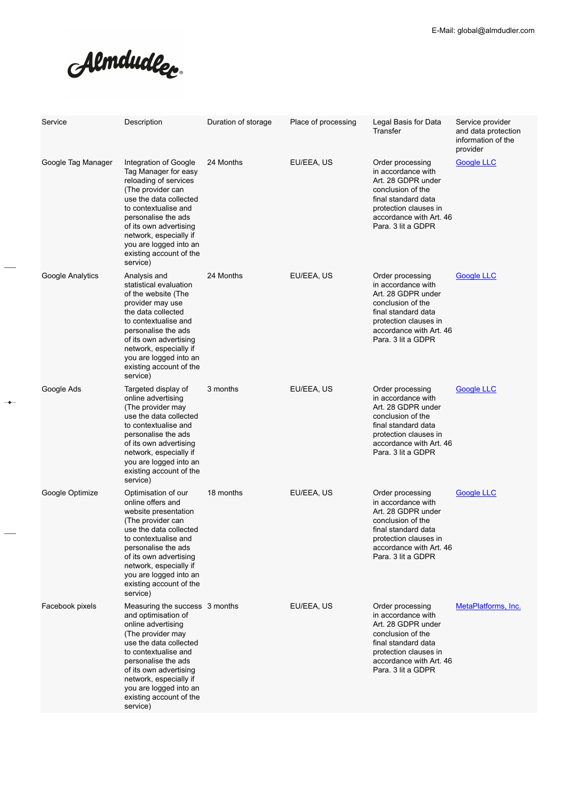Almdudler.

 $\rightarrow$ 

| Service            | Description                                                                                                                                                                                                                                                                                    | Duration of storage | Place of processing | Legal Basis for Data<br>Transfer                                                                                                                                                   | Service provider<br>and data protection<br>information of the<br>provider |
|--------------------|------------------------------------------------------------------------------------------------------------------------------------------------------------------------------------------------------------------------------------------------------------------------------------------------|---------------------|---------------------|------------------------------------------------------------------------------------------------------------------------------------------------------------------------------------|---------------------------------------------------------------------------|
| Google Tag Manager | Integration of Google<br>Tag Manager for easy<br>reloading of services<br>(The provider can<br>use the data collected<br>to contextualise and<br>personalise the ads<br>of its own advertising<br>network, especially if<br>you are logged into an<br>existing account of the<br>service)      | 24 Months           | EU/EEA, US          | Order processing<br>in accordance with<br>Art. 28 GDPR under<br>conclusion of the<br>final standard data<br>protection clauses in<br>accordance with Art. 46<br>Para. 3 lit a GDPR | <b>Google LLC</b>                                                         |
| Google Analytics   | Analysis and<br>statistical evaluation<br>of the website (The<br>provider may use<br>the data collected<br>to contextualise and<br>personalise the ads<br>of its own advertising<br>network, especially if<br>you are logged into an<br>existing account of the<br>service)                    | 24 Months           | EU/EEA, US          | Order processing<br>in accordance with<br>Art. 28 GDPR under<br>conclusion of the<br>final standard data<br>protection clauses in<br>accordance with Art. 46<br>Para. 3 lit a GDPR | <b>Google LLC</b>                                                         |
| Google Ads         | Targeted display of<br>online advertising<br>(The provider may<br>use the data collected<br>to contextualise and<br>personalise the ads<br>of its own advertising<br>network, especially if<br>you are logged into an<br>existing account of the<br>service)                                   | 3 months            | EU/EEA, US          | Order processing<br>in accordance with<br>Art. 28 GDPR under<br>conclusion of the<br>final standard data<br>protection clauses in<br>accordance with Art. 46<br>Para. 3 lit a GDPR | <b>Google LLC</b>                                                         |
| Google Optimize    | Optimisation of our<br>online offers and<br>website presentation<br>(The provider can<br>use the data collected<br>to contextualise and<br>personalise the ads<br>of its own advertising<br>network, especially if<br>you are logged into an<br>existing account of the<br>service)            | 18 months           | EU/EEA, US          | Order processing<br>in accordance with<br>Art. 28 GDPR under<br>conclusion of the<br>final standard data<br>protection clauses in<br>accordance with Art. 46<br>Para. 3 lit a GDPR | Google LLC                                                                |
| Facebook pixels    | Measuring the success 3 months<br>and optimisation of<br>online advertising<br>(The provider may<br>use the data collected<br>to contextualise and<br>personalise the ads<br>of its own advertising<br>network, especially if<br>you are logged into an<br>existing account of the<br>service) |                     | EU/EEA, US          | Order processing<br>in accordance with<br>Art. 28 GDPR under<br>conclusion of the<br>final standard data<br>protection clauses in<br>accordance with Art. 46<br>Para. 3 lit a GDPR | MetaPlatforms, Inc.                                                       |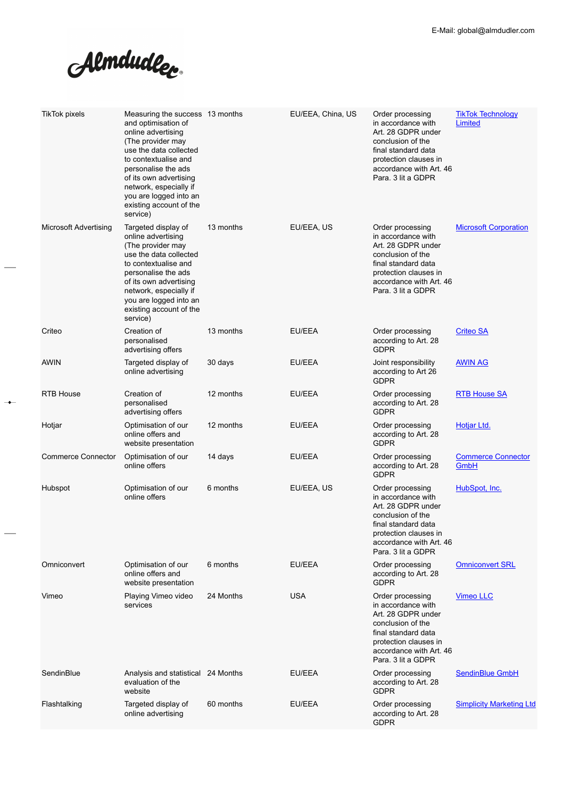Almdudler.

 $\sim$ 

 $\overline{\phantom{0}}$ 

L.

| <b>TikTok pixels</b>      | Measuring the success 13 months<br>and optimisation of<br>online advertising<br>(The provider may<br>use the data collected<br>to contextualise and<br>personalise the ads<br>of its own advertising<br>network, especially if<br>you are logged into an<br>existing account of the<br>service) |           | EU/EEA, China, US | Order processing<br>in accordance with<br>Art. 28 GDPR under<br>conclusion of the<br>final standard data<br>protection clauses in<br>accordance with Art. 46<br>Para, 3 lit a GDPR | <b>TikTok Technology</b><br>Limited |
|---------------------------|-------------------------------------------------------------------------------------------------------------------------------------------------------------------------------------------------------------------------------------------------------------------------------------------------|-----------|-------------------|------------------------------------------------------------------------------------------------------------------------------------------------------------------------------------|-------------------------------------|
| Microsoft Advertising     | Targeted display of<br>online advertising<br>(The provider may<br>use the data collected<br>to contextualise and<br>personalise the ads<br>of its own advertising<br>network, especially if<br>you are logged into an<br>existing account of the<br>service)                                    | 13 months | EU/EEA, US        | Order processing<br>in accordance with<br>Art. 28 GDPR under<br>conclusion of the<br>final standard data<br>protection clauses in<br>accordance with Art. 46<br>Para, 3 lit a GDPR | <b>Microsoft Corporation</b>        |
| Criteo                    | Creation of<br>personalised<br>advertising offers                                                                                                                                                                                                                                               | 13 months | EU/EEA            | Order processing<br>according to Art. 28<br><b>GDPR</b>                                                                                                                            | <b>Criteo SA</b>                    |
| <b>AWIN</b>               | Targeted display of<br>online advertising                                                                                                                                                                                                                                                       | 30 days   | EU/EEA            | Joint responsibility<br>according to Art 26<br><b>GDPR</b>                                                                                                                         | <b>AWIN AG</b>                      |
| <b>RTB House</b>          | Creation of<br>personalised<br>advertising offers                                                                                                                                                                                                                                               | 12 months | <b>EU/EEA</b>     | Order processing<br>according to Art. 28<br><b>GDPR</b>                                                                                                                            | <b>RTB House SA</b>                 |
| Hotjar                    | Optimisation of our<br>online offers and<br>website presentation                                                                                                                                                                                                                                | 12 months | EU/EEA            | Order processing<br>according to Art. 28<br><b>GDPR</b>                                                                                                                            | Hotjar Ltd.                         |
| <b>Commerce Connector</b> | Optimisation of our<br>online offers                                                                                                                                                                                                                                                            | 14 days   | EU/EEA            | Order processing<br>according to Art. 28<br><b>GDPR</b>                                                                                                                            | <b>Commerce Connector</b><br>GmbH   |
| Hubspot                   | Optimisation of our<br>online offers                                                                                                                                                                                                                                                            | 6 months  | EU/EEA, US        | Order processing<br>in accordance with<br>Art. 28 GDPR under<br>conclusion of the<br>final standard data<br>protection clauses in<br>accordance with Art. 46<br>Para, 3 lit a GDPR | HubSpot, Inc.                       |
| Omniconvert               | Optimisation of our<br>online offers and<br>website presentation                                                                                                                                                                                                                                | 6 months  | <b>EU/EEA</b>     | Order processing<br>according to Art. 28<br><b>GDPR</b>                                                                                                                            | <b>Omniconvert SRL</b>              |
| Vimeo                     | Playing Vimeo video<br>services                                                                                                                                                                                                                                                                 | 24 Months | <b>USA</b>        | Order processing<br>in accordance with<br>Art. 28 GDPR under<br>conclusion of the<br>final standard data<br>protection clauses in<br>accordance with Art. 46<br>Para, 3 lit a GDPR | <b>Vimeo LLC</b>                    |
| SendinBlue                | Analysis and statistical 24 Months<br>evaluation of the<br>website                                                                                                                                                                                                                              |           | EU/EEA            | Order processing<br>according to Art. 28<br><b>GDPR</b>                                                                                                                            | <b>SendinBlue GmbH</b>              |
| Flashtalking              | Targeted display of<br>online advertising                                                                                                                                                                                                                                                       | 60 months | EU/EEA            | Order processing<br>according to Art. 28<br><b>GDPR</b>                                                                                                                            | <b>Simplicity Marketing Ltd</b>     |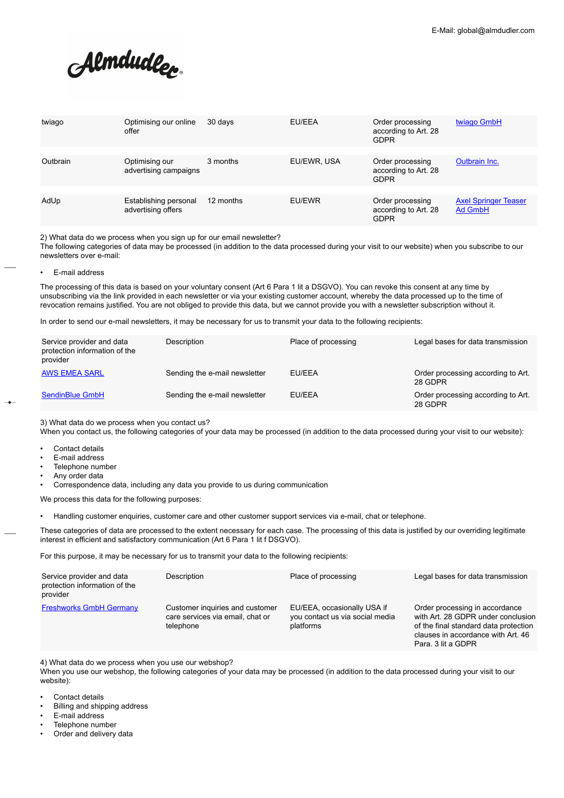Almdudler.

| twiago   | Optimising our online<br>offer              | 30 days   | EU/EEA      | Order processing<br>according to Art. 28<br><b>GDPR</b> | twiago GmbH                            |
|----------|---------------------------------------------|-----------|-------------|---------------------------------------------------------|----------------------------------------|
| Outbrain | Optimising our<br>advertising campaigns     | 3 months  | EU/EWR, USA | Order processing<br>according to Art. 28<br><b>GDPR</b> | Outbrain Inc.                          |
| AdUp     | Establishing personal<br>advertising offers | 12 months | EU/EWR      | Order processing<br>according to Art. 28<br><b>GDPR</b> | <b>Axel Springer Teaser</b><br>Ad GmbH |

2) What data do we process when you sign up for our email newsletter?

The following categories of data may be processed (in addition to the data processed during your visit to our website) when you subscribe to our newsletters over e-mail:

• E-mail address

The processing of this data is based on your voluntary consent (Art 6 Para 1 lit a DSGVO). You can revoke this consent at any time by unsubscribing via the link provided in each newsletter or via your existing customer account, whereby the data processed up to the time of revocation remains justified. You are not obliged to provide this data, but we cannot provide you with a newsletter subscription without it.

In order to send our e-mail newsletters, it may be necessary for us to transmit your data to the following recipients:

| Service provider and data<br>protection information of the<br>provider | Description                   | Place of processing | Legal bases for data transmission             |
|------------------------------------------------------------------------|-------------------------------|---------------------|-----------------------------------------------|
| <b>AWS EMEA SARL</b>                                                   | Sending the e-mail newsletter | EU/EEA              | Order processing according to Art.<br>28 GDPR |
| SendinBlue GmbH                                                        | Sending the e-mail newsletter | EU/EEA              | Order processing according to Art.<br>28 GDPR |

3) What data do we process when you contact us?

When you contact us, the following categories of your data may be processed (in addition to the data processed during your visit to our website):

- Contact details
- E-mail address
- Telephone number
- Any order data
- Correspondence data, including any data you provide to us during communication

We process this data for the following purposes:

• Handling customer enquiries, customer care and other customer support services via e-mail, chat or telephone.

These categories of data are processed to the extent necessary for each case. The processing of this data is justified by our overriding legitimate interest in efficient and satisfactory communication (Art 6 Para 1 lit f DSGVO).

For this purpose, it may be necessary for us to transmit your data to the following recipients:

| Service provider and data<br>protection information of the<br>provider | Description                                                                      | Place of processing                                                         | Legal bases for data transmission                                                                                                                                         |
|------------------------------------------------------------------------|----------------------------------------------------------------------------------|-----------------------------------------------------------------------------|---------------------------------------------------------------------------------------------------------------------------------------------------------------------------|
| <b>Freshworks GmbH Germany</b>                                         | Customer inquiries and customer<br>care services via email, chat or<br>telephone | EU/EEA, occasionally USA if<br>you contact us via social media<br>platforms | Order processing in accordance<br>with Art. 28 GDPR under conclusion<br>of the final standard data protection<br>clauses in accordance with Art. 46<br>Para, 3 lit a GDPR |

4) What data do we process when you use our webshop?

When you use our webshop, the following categories of your data may be processed (in addition to the data processed during your visit to our website):

- Contact details
- Billing and shipping address
- E-mail address
- Telephone number
- Order and delivery data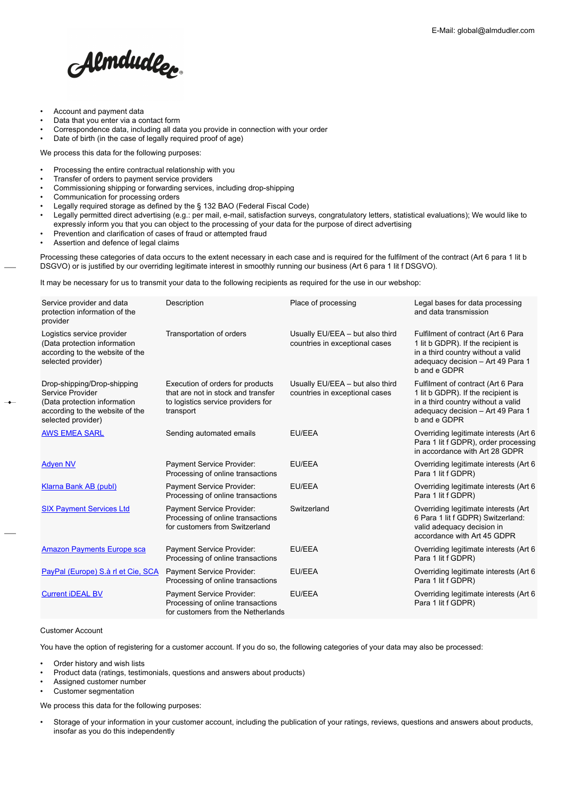Almdudler.

- Account and payment data
- Data that you enter via a contact form
- Correspondence data, including all data you provide in connection with your order
- Date of birth (in the case of legally required proof of age)

We process this data for the following purposes:

- Processing the entire contractual relationship with you
- Transfer of orders to payment service providers
- Commissioning shipping or forwarding services, including drop-shipping
- Communication for processing orders
- Legally required storage as defined by the § 132 BAO (Federal Fiscal Code)
- Legally permitted direct advertising (e.g.: per mail, e-mail, satisfaction surveys, congratulatory letters, statistical evaluations); We would like to expressly inform you that you can object to the processing of your data for the purpose of direct advertising
- Prevention and clarification of cases of fraud or attempted fraud
- Assertion and defence of legal claims

Processing these categories of data occurs to the extent necessary in each case and is required for the fulfilment of the contract (Art 6 para 1 lit b DSGVO) or is justified by our overriding legitimate interest in smoothly running our business (Art 6 para 1 lit f DSGVO).

It may be necessary for us to transmit your data to the following recipients as required for the use in our webshop:

| Service provider and data<br>protection information of the<br>provider                                                                   | Description                                                                                                               | Place of processing                                               | Legal bases for data processing<br>and data transmission                                                                                                            |
|------------------------------------------------------------------------------------------------------------------------------------------|---------------------------------------------------------------------------------------------------------------------------|-------------------------------------------------------------------|---------------------------------------------------------------------------------------------------------------------------------------------------------------------|
| Logistics service provider<br>(Data protection information<br>according to the website of the<br>selected provider)                      | Transportation of orders                                                                                                  | Usually EU/EEA - but also third<br>countries in exceptional cases | Fulfilment of contract (Art 6 Para<br>1 lit b GDPR). If the recipient is<br>in a third country without a valid<br>adequacy decision - Art 49 Para 1<br>b and e GDPR |
| Drop-shipping/Drop-shipping<br>Service Provider<br>(Data protection information<br>according to the website of the<br>selected provider) | Execution of orders for products<br>that are not in stock and transfer<br>to logistics service providers for<br>transport | Usually EU/EEA - but also third<br>countries in exceptional cases | Fulfilment of contract (Art 6 Para<br>1 lit b GDPR). If the recipient is<br>in a third country without a valid<br>adequacy decision - Art 49 Para 1<br>b and e GDPR |
| <b>AWS EMEA SARL</b>                                                                                                                     | Sending automated emails                                                                                                  | EU/EEA                                                            | Overriding legitimate interests (Art 6<br>Para 1 lit f GDPR), order processing<br>in accordance with Art 28 GDPR                                                    |
| <b>Adven NV</b>                                                                                                                          | Payment Service Provider:<br>Processing of online transactions                                                            | EU/EEA                                                            | Overriding legitimate interests (Art 6)<br>Para 1 lit f GDPR)                                                                                                       |
| Klarna Bank AB (publ)                                                                                                                    | Payment Service Provider:<br>Processing of online transactions                                                            | EU/EEA                                                            | Overriding legitimate interests (Art 6<br>Para 1 lit f GDPR)                                                                                                        |
| <b>SIX Payment Services Ltd</b>                                                                                                          | Payment Service Provider:<br>Processing of online transactions<br>for customers from Switzerland                          | Switzerland                                                       | Overriding legitimate interests (Art<br>6 Para 1 lit f GDPR) Switzerland:<br>valid adequacy decision in<br>accordance with Art 45 GDPR                              |
| <b>Amazon Payments Europe sca</b>                                                                                                        | Payment Service Provider:<br>Processing of online transactions                                                            | EU/EEA                                                            | Overriding legitimate interests (Art 6)<br>Para 1 lit f GDPR)                                                                                                       |
| PayPal (Europe) S.à rl et Cie, SCA                                                                                                       | Payment Service Provider:<br>Processing of online transactions                                                            | EU/EEA                                                            | Overriding legitimate interests (Art 6<br>Para 1 lit f GDPR)                                                                                                        |
| <b>Current iDEAL BV</b>                                                                                                                  | Payment Service Provider:<br>Processing of online transactions<br>for customers from the Netherlands                      | EU/EEA                                                            | Overriding legitimate interests (Art 6<br>Para 1 lit f GDPR)                                                                                                        |

### Customer Account

You have the option of registering for a customer account. If you do so, the following categories of your data may also be processed:

- Order history and wish lists
- Product data (ratings, testimonials, questions and answers about products)
- Assigned customer number
- Customer segmentation

We process this data for the following purposes:

• Storage of your information in your customer account, including the publication of your ratings, reviews, questions and answers about products, insofar as you do this independently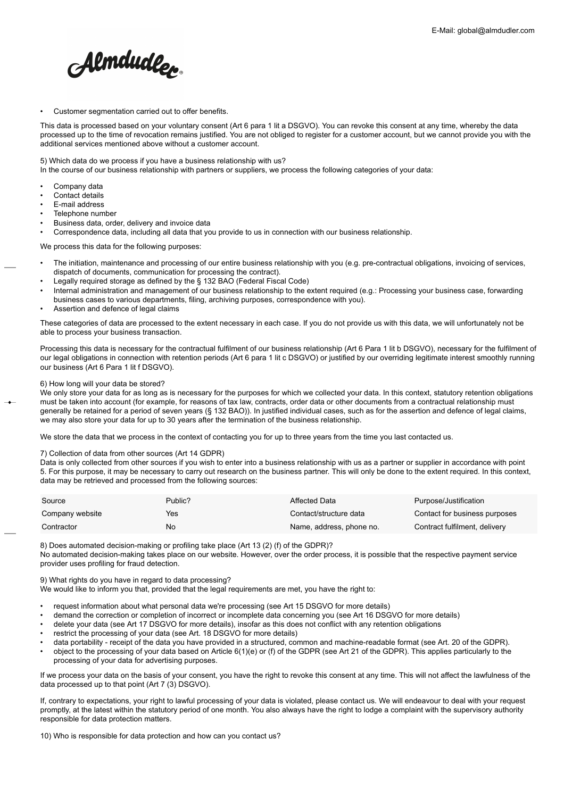Almdudler.

Customer segmentation carried out to offer benefits.

This data is processed based on your voluntary consent (Art 6 para 1 lit a DSGVO). You can revoke this consent at any time, whereby the data processed up to the time of revocation remains justified. You are not obliged to register for a customer account, but we cannot provide you with the additional services mentioned above without a customer account.

#### 5) Which data do we process if you have a business relationship with us?

In the course of our business relationship with partners or suppliers, we process the following categories of your data:

- Company data
- Contact details
- E-mail address
- Telephone number
- Business data, order, delivery and invoice data

• Correspondence data, including all data that you provide to us in connection with our business relationship.

We process this data for the following purposes:

- The initiation, maintenance and processing of our entire business relationship with you (e.g. pre-contractual obligations, invoicing of services, dispatch of documents, communication for processing the contract).
- Legally required storage as defined by the § 132 BAO (Federal Fiscal Code)
- Internal administration and management of our business relationship to the extent required (e.g.: Processing your business case, forwarding business cases to various departments, filing, archiving purposes, correspondence with you).
- Assertion and defence of legal claims

These categories of data are processed to the extent necessary in each case. If you do not provide us with this data, we will unfortunately not be able to process your business transaction.

Processing this data is necessary for the contractual fulfilment of our business relationship (Art 6 Para 1 lit b DSGVO), necessary for the fulfilment of our legal obligations in connection with retention periods (Art 6 para 1 lit c DSGVO) or justified by our overriding legitimate interest smoothly running our business (Art 6 Para 1 lit f DSGVO).

## 6) How long will your data be stored?

We only store your data for as long as is necessary for the purposes for which we collected your data. In this context, statutory retention obligations must be taken into account (for example, for reasons of tax law, contracts, order data or other documents from a contractual relationship must generally be retained for a period of seven years (§ 132 BAO)). In justified individual cases, such as for the assertion and defence of legal claims, we may also store your data for up to 30 years after the termination of the business relationship.

We store the data that we process in the context of contacting you for up to three years from the time you last contacted us.

#### 7) Collection of data from other sources (Art 14 GDPR)

Data is only collected from other sources if you wish to enter into a business relationship with us as a partner or supplier in accordance with point 5. For this purpose, it may be necessary to carry out research on the business partner. This will only be done to the extent required. In this context, data may be retrieved and processed from the following sources:

| Source          | Public? | Affected Data            | Purpose/Justification         |
|-----------------|---------|--------------------------|-------------------------------|
| Company website | Yes     | Contact/structure data   | Contact for business purposes |
| Contractor      | No      | Name, address, phone no. | Contract fulfilment, delivery |

8) Does automated decision-making or profiling take place (Art 13 (2) (f) of the GDPR)?

No automated decision-making takes place on our website. However, over the order process, it is possible that the respective payment service provider uses profiling for fraud detection.

9) What rights do you have in regard to data processing?

We would like to inform you that, provided that the legal requirements are met, you have the right to:

- request information about what personal data we're processing (see Art 15 DSGVO for more details)
- demand the correction or completion of incorrect or incomplete data concerning you (see Art 16 DSGVO for more details)
- delete your data (see Art 17 DSGVO for more details), insofar as this does not conflict with any retention obligations
- restrict the processing of your data (see Art. 18 DSGVO for more details)
- data portability receipt of the data you have provided in a structured, common and machine-readable format (see Art. 20 of the GDPR).
- object to the processing of your data based on Article 6(1)(e) or (f) of the GDPR (see Art 21 of the GDPR). This applies particularly to the processing of your data for advertising purposes.

If we process your data on the basis of your consent, you have the right to revoke this consent at any time. This will not affect the lawfulness of the data processed up to that point (Art 7 (3) DSGVO).

If, contrary to expectations, your right to lawful processing of your data is violated, please contact us. We will endeavour to deal with your request promptly, at the latest within the statutory period of one month. You also always have the right to lodge a complaint with the supervisory authority responsible for data protection matters.

10) Who is responsible for data protection and how can you contact us?